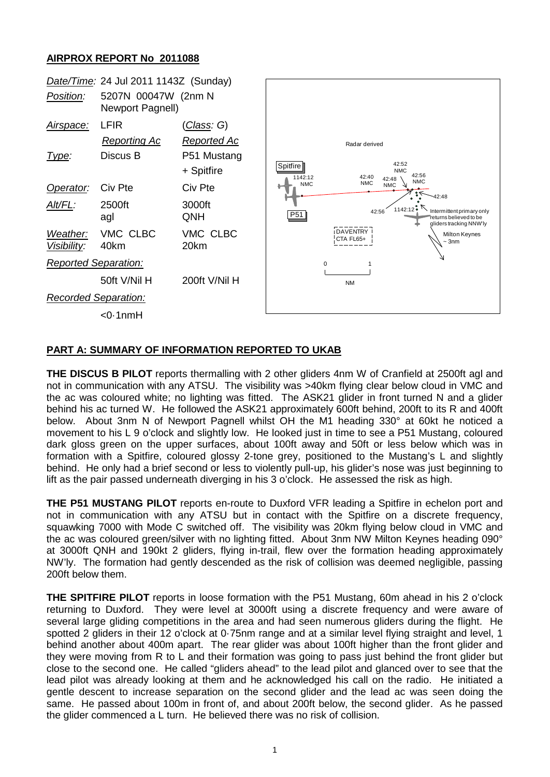## **AIRPROX REPORT No 2011088**



## **PART A: SUMMARY OF INFORMATION REPORTED TO UKAB**

**THE DISCUS B PILOT** reports thermalling with 2 other gliders 4nm W of Cranfield at 2500ft agl and not in communication with any ATSU. The visibility was >40km flying clear below cloud in VMC and the ac was coloured white; no lighting was fitted. The ASK21 glider in front turned N and a glider behind his ac turned W. He followed the ASK21 approximately 600ft behind, 200ft to its R and 400ft below. About 3nm N of Newport Pagnell whilst OH the M1 heading 330° at 60kt he noticed a movement to his L 9 o'clock and slightly low. He looked just in time to see a P51 Mustang, coloured dark gloss green on the upper surfaces, about 100ft away and 50ft or less below which was in formation with a Spitfire, coloured glossy 2-tone grey, positioned to the Mustang's L and slightly behind. He only had a brief second or less to violently pull-up, his glider's nose was just beginning to lift as the pair passed underneath diverging in his 3 o'clock. He assessed the risk as high.

**THE P51 MUSTANG PILOT** reports en-route to Duxford VFR leading a Spitfire in echelon port and not in communication with any ATSU but in contact with the Spitfire on a discrete frequency, squawking 7000 with Mode C switched off. The visibility was 20km flying below cloud in VMC and the ac was coloured green/silver with no lighting fitted. About 3nm NW Milton Keynes heading 090° at 3000ft QNH and 190kt 2 gliders, flying in-trail, flew over the formation heading approximately NW'ly. The formation had gently descended as the risk of collision was deemed negligible, passing 200ft below them.

**THE SPITFIRE PILOT** reports in loose formation with the P51 Mustang, 60m ahead in his 2 o'clock returning to Duxford. They were level at 3000ft using a discrete frequency and were aware of several large gliding competitions in the area and had seen numerous gliders during the flight. He spotted 2 gliders in their 12 o'clock at 0·75nm range and at a similar level flying straight and level, 1 behind another about 400m apart. The rear glider was about 100ft higher than the front glider and they were moving from R to L and their formation was going to pass just behind the front glider but close to the second one. He called "gliders ahead" to the lead pilot and glanced over to see that the lead pilot was already looking at them and he acknowledged his call on the radio. He initiated a gentle descent to increase separation on the second glider and the lead ac was seen doing the same. He passed about 100m in front of, and about 200ft below, the second glider. As he passed the glider commenced a L turn. He believed there was no risk of collision.